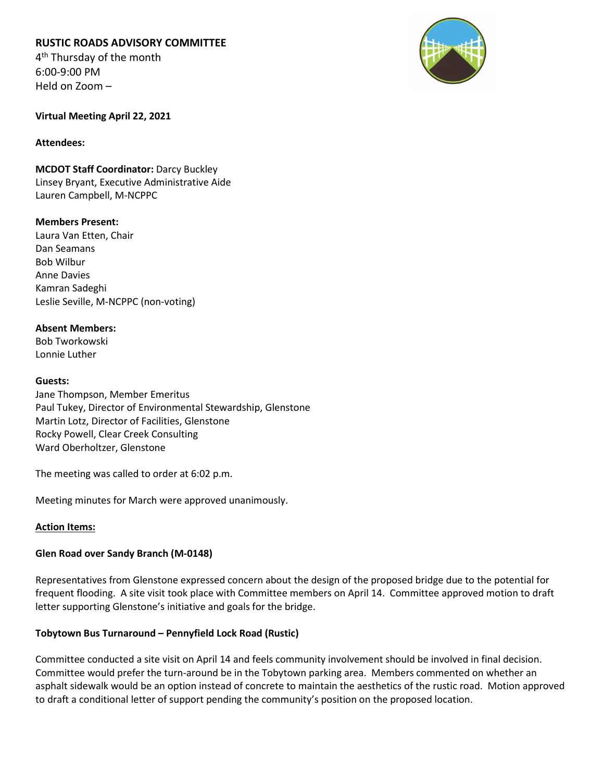# **RUSTIC ROADS ADVISORY COMMITTEE**

4<sup>th</sup> Thursday of the month 6:00-9:00 PM Held on Zoom –



**Virtual Meeting April 22, 2021**

#### **Attendees:**

**MCDOT Staff Coordinator:** Darcy Buckley Linsey Bryant, Executive Administrative Aide Lauren Campbell, M-NCPPC

# **Members Present:**

Laura Van Etten, Chair Dan Seamans Bob Wilbur Anne Davies Kamran Sadeghi Leslie Seville, M-NCPPC (non-voting)

# **Absent Members:**

Bob Tworkowski Lonnie Luther

#### **Guests:**

Jane Thompson, Member Emeritus Paul Tukey, Director of Environmental Stewardship, Glenstone Martin Lotz, Director of Facilities, Glenstone Rocky Powell, Clear Creek Consulting Ward Oberholtzer, Glenstone

The meeting was called to order at 6:02 p.m.

Meeting minutes for March were approved unanimously.

# **Action Items:**

# **Glen Road over Sandy Branch (M-0148)**

Representatives from Glenstone expressed concern about the design of the proposed bridge due to the potential for frequent flooding. A site visit took place with Committee members on April 14. Committee approved motion to draft letter supporting Glenstone's initiative and goals for the bridge.

# **Tobytown Bus Turnaround – Pennyfield Lock Road (Rustic)**

Committee conducted a site visit on April 14 and feels community involvement should be involved in final decision. Committee would prefer the turn-around be in the Tobytown parking area. Members commented on whether an asphalt sidewalk would be an option instead of concrete to maintain the aesthetics of the rustic road. Motion approved to draft a conditional letter of support pending the community's position on the proposed location.